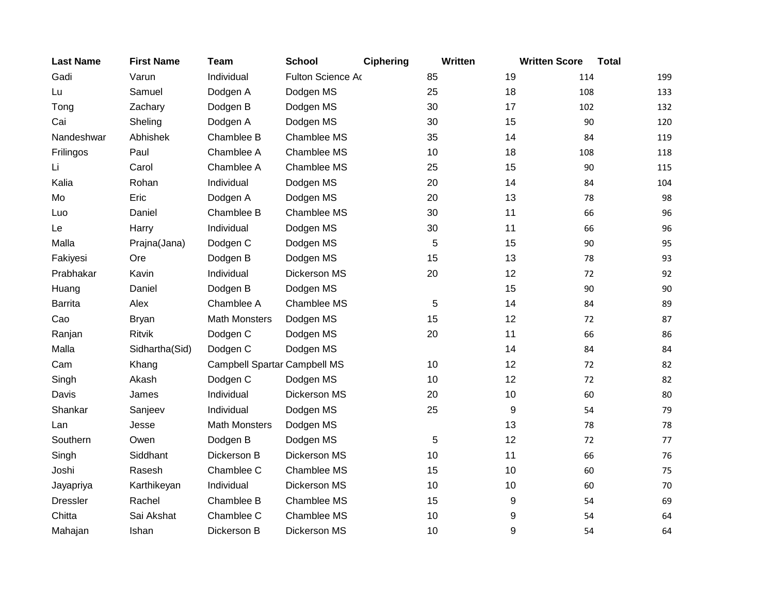| <b>Last Name</b> | <b>First Name</b> | <b>Team</b>                  | <b>School</b>     | <b>Ciphering</b> | Written | <b>Written Score</b> | <b>Total</b> |     |
|------------------|-------------------|------------------------------|-------------------|------------------|---------|----------------------|--------------|-----|
| Gadi             | Varun             | Individual                   | Fulton Science Ao |                  | 85      | 19                   | 114          | 199 |
| Lu               | Samuel            | Dodgen A                     | Dodgen MS         |                  | 25      | 18                   | 108          | 133 |
| Tong             | Zachary           | Dodgen B                     | Dodgen MS         |                  | 30      | 17                   | 102          | 132 |
| Cai              | Sheling           | Dodgen A                     | Dodgen MS         |                  | 30      | 15                   | 90           | 120 |
| Nandeshwar       | Abhishek          | Chamblee B                   | Chamblee MS       |                  | 35      | 14                   | 84           | 119 |
| Frilingos        | Paul              | Chamblee A                   | Chamblee MS       |                  | 10      | 18                   | 108          | 118 |
| Li               | Carol             | Chamblee A                   | Chamblee MS       |                  | 25      | 15                   | 90           | 115 |
| Kalia            | Rohan             | Individual                   | Dodgen MS         |                  | 20      | 14                   | 84           | 104 |
| Mo               | Eric              | Dodgen A                     | Dodgen MS         |                  | 20      | 13                   | 78           | 98  |
| Luo              | Daniel            | Chamblee B                   | Chamblee MS       |                  | 30      | 11                   | 66           | 96  |
| Le               | Harry             | Individual                   | Dodgen MS         |                  | 30      | 11                   | 66           | 96  |
| Malla            | Prajna(Jana)      | Dodgen C                     | Dodgen MS         |                  | 5       | 15                   | 90           | 95  |
| Fakiyesi         | Ore               | Dodgen B                     | Dodgen MS         |                  | 15      | 13                   | 78           | 93  |
| Prabhakar        | Kavin             | Individual                   | Dickerson MS      |                  | 20      | 12                   | 72           | 92  |
| Huang            | Daniel            | Dodgen B                     | Dodgen MS         |                  |         | 15                   | 90           | 90  |
| <b>Barrita</b>   | Alex              | Chamblee A                   | Chamblee MS       |                  | 5       | 14                   | 84           | 89  |
| Cao              | <b>Bryan</b>      | <b>Math Monsters</b>         | Dodgen MS         |                  | 15      | 12                   | 72           | 87  |
| Ranjan           | <b>Ritvik</b>     | Dodgen C                     | Dodgen MS         |                  | 20      | 11                   | 66           | 86  |
| Malla            | Sidhartha(Sid)    | Dodgen C                     | Dodgen MS         |                  |         | 14                   | 84           | 84  |
| Cam              | Khang             | Campbell Spartar Campbell MS |                   |                  | 10      | 12                   | 72           | 82  |
| Singh            | Akash             | Dodgen C                     | Dodgen MS         |                  | 10      | 12                   | 72           | 82  |
| Davis            | James             | Individual                   | Dickerson MS      |                  | 20      | 10                   | 60           | 80  |
| Shankar          | Sanjeev           | Individual                   | Dodgen MS         |                  | 25      | 9                    | 54           | 79  |
| Lan              | Jesse             | <b>Math Monsters</b>         | Dodgen MS         |                  |         | 13                   | 78           | 78  |
| Southern         | Owen              | Dodgen B                     | Dodgen MS         |                  | 5       | 12                   | 72           | 77  |
| Singh            | Siddhant          | Dickerson B                  | Dickerson MS      |                  | 10      | 11                   | 66           | 76  |
| Joshi            | Rasesh            | Chamblee C                   | Chamblee MS       |                  | 15      | 10                   | 60           | 75  |
| Jayapriya        | Karthikeyan       | Individual                   | Dickerson MS      |                  | 10      | 10                   | 60           | 70  |
| <b>Dressler</b>  | Rachel            | Chamblee B                   | Chamblee MS       |                  | 15      | 9                    | 54           | 69  |
| Chitta           | Sai Akshat        | Chamblee C                   | Chamblee MS       |                  | 10      | 9                    | 54           | 64  |
| Mahajan          | Ishan             | Dickerson B                  | Dickerson MS      |                  | 10      | 9                    | 54           | 64  |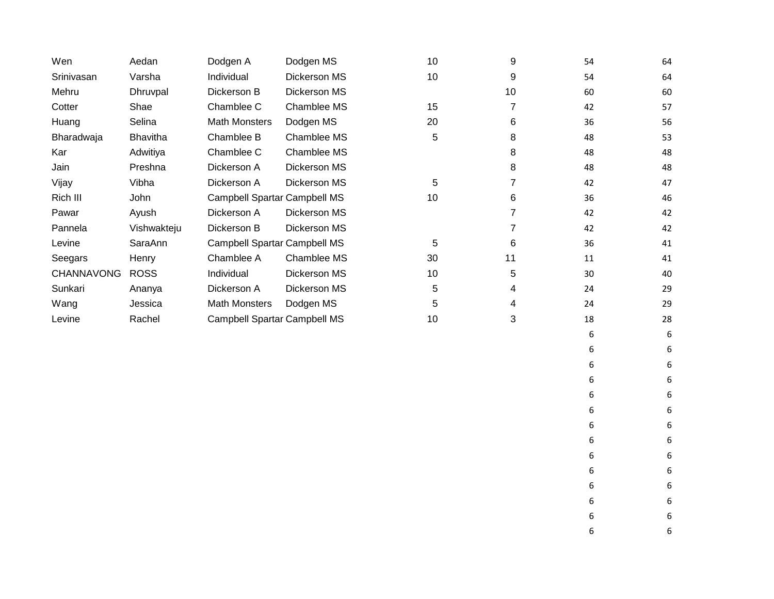| Wen               | Aedan           | Dodgen A                            | Dodgen MS    | 10 | 9              | 54 | 64 |
|-------------------|-----------------|-------------------------------------|--------------|----|----------------|----|----|
| Srinivasan        | Varsha          | Individual                          | Dickerson MS | 10 | 9              | 54 | 64 |
| Mehru             | Dhruvpal        | Dickerson B                         | Dickerson MS |    | 10             | 60 | 60 |
| Cotter            | Shae            | Chamblee C                          | Chamblee MS  | 15 | $\overline{7}$ | 42 | 57 |
| Huang             | Selina          | <b>Math Monsters</b>                | Dodgen MS    | 20 | 6              | 36 | 56 |
| Bharadwaja        | <b>Bhavitha</b> | Chamblee B                          | Chamblee MS  | 5  | 8              | 48 | 53 |
| Kar               | Adwitiya        | Chamblee C                          | Chamblee MS  |    | 8              | 48 | 48 |
| Jain              | Preshna         | Dickerson A                         | Dickerson MS |    | 8              | 48 | 48 |
| Vijay             | Vibha           | Dickerson A                         | Dickerson MS | 5  | 7              | 42 | 47 |
| Rich III          | John            | <b>Campbell Spartar Campbell MS</b> |              | 10 | 6              | 36 | 46 |
| Pawar             | Ayush           | Dickerson A                         | Dickerson MS |    | 7              | 42 | 42 |
| Pannela           | Vishwakteju     | Dickerson B                         | Dickerson MS |    | 7              | 42 | 42 |
| Levine            | SaraAnn         | <b>Campbell Spartar Campbell MS</b> |              | 5  | 6              | 36 | 41 |
| Seegars           | Henry           | Chamblee A                          | Chamblee MS  | 30 | 11             | 11 | 41 |
| <b>CHANNAVONG</b> | <b>ROSS</b>     | Individual                          | Dickerson MS | 10 | 5              | 30 | 40 |
| Sunkari           | Ananya          | Dickerson A                         | Dickerson MS | 5  | 4              | 24 | 29 |
| Wang              | Jessica         | <b>Math Monsters</b>                | Dodgen MS    | 5  | 4              | 24 | 29 |
| Levine            | Rachel          | <b>Campbell Spartar Campbell MS</b> |              | 10 | 3              | 18 | 28 |
|                   |                 |                                     |              |    |                | 6  | 6  |